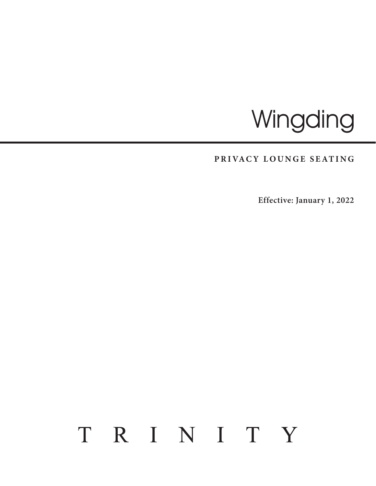# **Wingding**

## PRIVACY LOUNGE SEATING

**Effective: January 1, 2022**

## TRINITY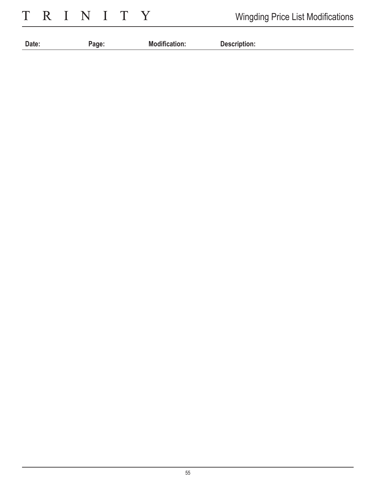TRINITY

| Date: | <sup>o</sup> age. | <b>Modification.</b> | <b>Description:</b> |
|-------|-------------------|----------------------|---------------------|
|       |                   |                      |                     |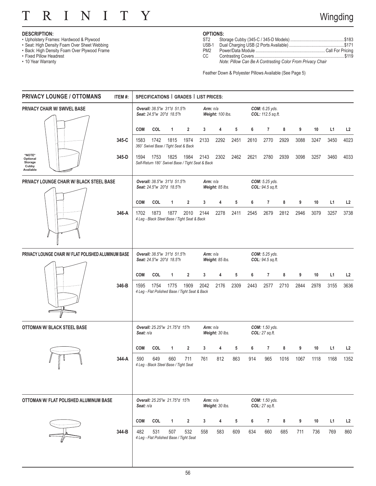#### N  $\overline{I}$  $\overline{I}$ T Y T R

### **DESCRIPTION:**

- Upholstery Frames: Hardwood & Plywood
- Seat: High Density Foam Over Sheet Webbing
- Back: High Density Foam Over Plywood Frame
- Fixed Pillow Headrest
- 10 Year Warranty

### **OPTIONS:**

| ST2   |  |
|-------|--|
| USB-1 |  |
| PM2   |  |
| CC    |  |

*Note: Pillow Can Be A Contrasting Color From Privacy Chair*

Feather Down & Polyester Pillows Available (See Page 5)

| <b>PRIVACY LOUNGE / OTTOMANS</b>                    | ITEM#: |            |                                                                                                                                       |                                                         | SPECIFICATIONS   GRADES   LIST PRICES:                   |      |                                |      |      |                                           |      |      |      |      |                |
|-----------------------------------------------------|--------|------------|---------------------------------------------------------------------------------------------------------------------------------------|---------------------------------------------------------|----------------------------------------------------------|------|--------------------------------|------|------|-------------------------------------------|------|------|------|------|----------------|
| <b>PRIVACY CHAIR W/ SWIVEL BASE</b>                 |        |            |                                                                                                                                       | Overall: 38.5"w 31"d 51.5"h<br>Seat: 24.5"w 20"d 18.5"h |                                                          |      | Arm: $n/a$<br>Weight: 100 lbs. |      |      | COM: 6.25 yds.<br>COL: 112.5 sq.ft.       |      |      |      |      |                |
|                                                     |        | <b>COM</b> | COL                                                                                                                                   | $\mathbf{1}$                                            | $\overline{2}$                                           | 3    | 4                              | 5    | 6    | 7                                         | 8    | 9    | 10   | L1   | L <sub>2</sub> |
|                                                     | 345-C  | 1583       | 1742                                                                                                                                  | 1815<br>360° Swivel Base / Tight Seat & Back            | 1974                                                     | 2133 | 2292                           | 2451 | 2610 | 2770                                      | 2929 | 3088 | 3247 | 3450 | 4023           |
| *NOTE*<br>Optional<br>Storage<br>Cubby<br>Available | 345-D  | 1594       | 1753                                                                                                                                  | 1825                                                    | 1984<br>Self-Return 180° Swivel Base / Tight Seat & Back | 2143 | 2302                           | 2462 | 2621 | 2780                                      | 2939 | 3098 | 3257 | 3460 | 4033           |
| PRIVACY LOUNGE CHAIR W/ BLACK STEEL BASE            |        |            |                                                                                                                                       | Overall: 38.5"w 31"d 51.5"h<br>Seat: 24.5"w 20"d 18.5"h |                                                          |      | Arm: $n/a$<br>Weight: 85 lbs.  |      |      | <b>COM:</b> 5.25 yds.<br>COL: 94.5 sq.ft. |      |      |      |      |                |
|                                                     |        | <b>COM</b> | COL                                                                                                                                   | 1                                                       | $\overline{2}$                                           | 3    | 4                              | 5    | 6    | 7                                         | 8    | 9    | 10   | L1   | L <sub>2</sub> |
|                                                     | 346-A  | 1702       | 1873                                                                                                                                  | 1877                                                    | 2010<br>4 Leg - Black Steel Base / Tight Seat & Back     | 2144 | 2278                           | 2411 | 2545 | 2679                                      | 2812 | 2946 | 3079 | 3257 | 3738           |
| PRIVACY LOUNGE CHAIR W/ FLAT POLISHED ALUMINUM BASE |        |            | Overall: 38.5"w 31"d 51.5"h<br>Arm: $n/a$<br><b>COM:</b> 5.25 yds.<br>Seat: 24.5"w 20"d 18.5"h<br>Weight: 85 lbs.<br>COL: 94.5 sq.ft. |                                                         |                                                          |      |                                |      |      |                                           |      |      |      |      |                |
|                                                     |        | <b>COM</b> | COL                                                                                                                                   | 1                                                       | 2                                                        | 3    | 4                              | 5    | 6    | 7                                         | 8    | 9    | 10   | L1   | L <sub>2</sub> |
|                                                     | 346-B  | 1595       | 1754                                                                                                                                  | 1775                                                    | 1909<br>4 Leg - Flat Polished Base / Tight Seat & Back   | 2042 | 2176                           | 2309 | 2443 | 2577                                      | 2710 | 2844 | 2978 | 3155 | 3636           |
| <b>OTTOMAN W/ BLACK STEEL BASE</b>                  |        | Seat: n/a  |                                                                                                                                       | Overall: 25.25"w 21.75"d 15"h                           |                                                          |      | Arm: n/a<br>Weight: 30 lbs.    |      |      | COM: 1.50 yds.<br>COL: 27 sq.ft.          |      |      |      |      |                |
|                                                     |        | <b>COM</b> | COL                                                                                                                                   | 1                                                       | $\overline{2}$                                           | 3    | 4                              | 5    | 6    | $\overline{7}$                            | 8    | 9    | 10   | L1   | L2             |
|                                                     | 344-A  | 590        | 649                                                                                                                                   | 660<br>4 Leg - Black Steel Base / Tight Seat            | 711                                                      | 761  | 812                            | 863  | 914  | 965                                       | 1016 | 1067 | 1118 | 1168 | 1352           |
| OTTOMAN W/ FLAT POLISHED ALUMINUM BASE              |        | Seat: n/a  |                                                                                                                                       | Overall: 25.25"w 21.75"d 15"h                           |                                                          |      | Arm: $n/a$<br>Weight: 30 lbs.  |      |      | COM: 1.50 yds.<br>COL: 27 sq.ft.          |      |      |      |      |                |
|                                                     |        | <b>COM</b> | COL                                                                                                                                   | $\mathbf{1}$                                            | $\overline{2}$                                           | 3    | 4                              | 5    | 6    | $\overline{7}$                            | 8    | 9    | 10   | L1   | L <sub>2</sub> |
|                                                     | 344-B  | 482        | 531                                                                                                                                   | 507                                                     | 532<br>4 Leg - Flat Polished Base / Tight Seat           | 558  | 583                            | 609  | 634  | 660                                       | 685  | 711  | 736  | 769  | 860            |